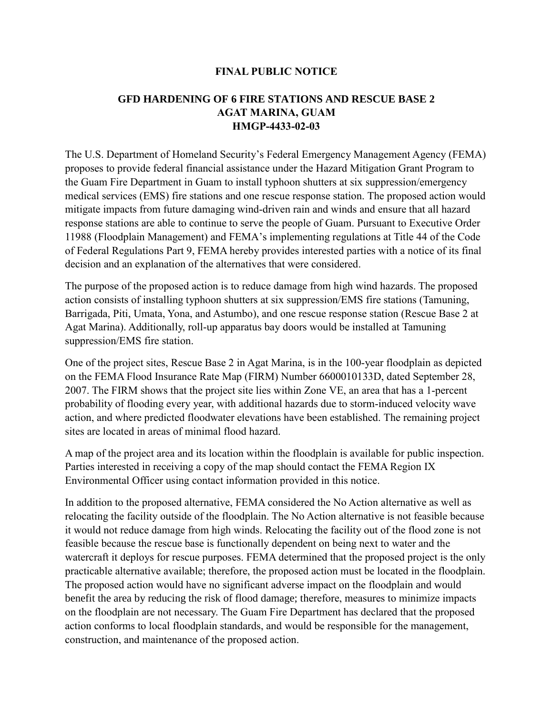## **FINAL PUBLIC NOTICE**

## **GFD HARDENING OF 6 FIRE STATIONS AND RESCUE BASE 2 AGAT MARINA, GUAM HMGP-4433-02-03**

The U.S. Department of Homeland Security's Federal Emergency Management Agency (FEMA) proposes to provide federal financial assistance under the Hazard Mitigation Grant Program to the Guam Fire Department in Guam to install typhoon shutters at six suppression/emergency medical services (EMS) fire stations and one rescue response station. The proposed action would mitigate impacts from future damaging wind-driven rain and winds and ensure that all hazard response stations are able to continue to serve the people of Guam. Pursuant to Executive Order 11988 (Floodplain Management) and FEMA's implementing regulations at Title 44 of the Code of Federal Regulations Part 9, FEMA hereby provides interested parties with a notice of its final decision and an explanation of the alternatives that were considered.

The purpose of the proposed action is to reduce damage from high wind hazards. The proposed action consists of installing typhoon shutters at six suppression/EMS fire stations (Tamuning, Barrigada, Piti, Umata, Yona, and Astumbo), and one rescue response station (Rescue Base 2 at Agat Marina). Additionally, roll-up apparatus bay doors would be installed at Tamuning suppression/EMS fire station.

One of the project sites, Rescue Base 2 in Agat Marina, is in the 100-year floodplain as depicted on the FEMA Flood Insurance Rate Map (FIRM) Number 6600010133D, dated September 28, 2007. The FIRM shows that the project site lies within Zone VE, an area that has a 1-percent probability of flooding every year, with additional hazards due to storm-induced velocity wave action, and where predicted floodwater elevations have been established. The remaining project sites are located in areas of minimal flood hazard.

A map of the project area and its location within the floodplain is available for public inspection. Parties interested in receiving a copy of the map should contact the FEMA Region IX Environmental Officer using contact information provided in this notice.

In addition to the proposed alternative, FEMA considered the No Action alternative as well as relocating the facility outside of the floodplain. The No Action alternative is not feasible because it would not reduce damage from high winds. Relocating the facility out of the flood zone is not feasible because the rescue base is functionally dependent on being next to water and the watercraft it deploys for rescue purposes. FEMA determined that the proposed project is the only practicable alternative available; therefore, the proposed action must be located in the floodplain. The proposed action would have no significant adverse impact on the floodplain and would benefit the area by reducing the risk of flood damage; therefore, measures to minimize impacts on the floodplain are not necessary. The Guam Fire Department has declared that the proposed action conforms to local floodplain standards, and would be responsible for the management, construction, and maintenance of the proposed action.